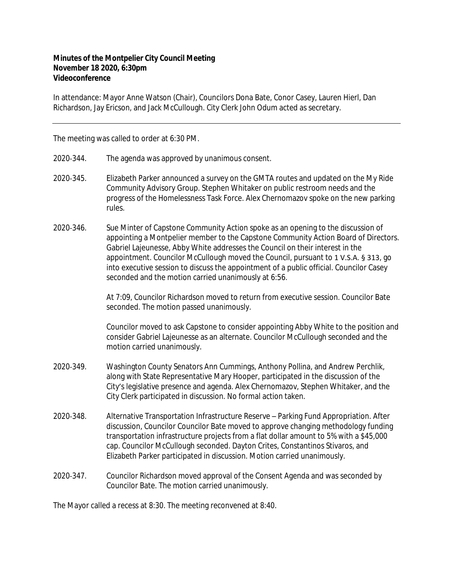## **Minutes of the Montpelier City Council Meeting November 18 2020, 6:30pm Videoconference**

In attendance: Mayor Anne Watson (Chair), Councilors Dona Bate, Conor Casey, Lauren Hierl, Dan Richardson, Jay Ericson, and Jack McCullough. City Clerk John Odum acted as secretary.

The meeting was called to order at 6:30 PM.

- 2020‐344. The agenda was approved by unanimous consent.
- 2020‐345. Elizabeth Parker announced a survey on the GMTA routes and updated on the My Ride Community Advisory Group. Stephen Whitaker on public restroom needs and the progress of the Homelessness Task Force. Alex Chernomazov spoke on the new parking rules.
- 2020-346. Sue Minter of Capstone Community Action spoke as an opening to the discussion of appointing a Montpelier member to the Capstone Community Action Board of Directors. Gabriel Lajeunesse, Abby White addresses the Council on their interest in the appointment. Councilor McCullough moved the Council, pursuant to 1 V.S.A. § 313, go into executive session to discuss the appointment of a public official. Councilor Casey seconded and the motion carried unanimously at 6:56.

At 7:09, Councilor Richardson moved to return from executive session. Councilor Bate seconded. The motion passed unanimously.

Councilor moved to ask Capstone to consider appointing Abby White to the position and consider Gabriel Lajeunesse as an alternate. Councilor McCullough seconded and the motion carried unanimously.

- 2020‐349. Washington County Senators Ann Cummings, Anthony Pollina, and Andrew Perchlik, along with State Representative Mary Hooper, participated in the discussion of the City's legislative presence and agenda. Alex Chernomazov, Stephen Whitaker, and the City Clerk participated in discussion. No formal action taken.
- 2020‐348. Alternative Transportation Infrastructure Reserve Parking Fund Appropriation. After discussion, Councilor Councilor Bate moved to approve changing methodology funding transportation infrastructure projects from a flat dollar amount to 5% with a \$45,000 cap. Councilor McCullough seconded. Dayton Crites, Constantinos Stivaros, and Elizabeth Parker participated in discussion. Motion carried unanimously.
- 2020‐347. Councilor Richardson moved approval of the Consent Agenda and was seconded by Councilor Bate. The motion carried unanimously.

The Mayor called a recess at 8:30. The meeting reconvened at 8:40.